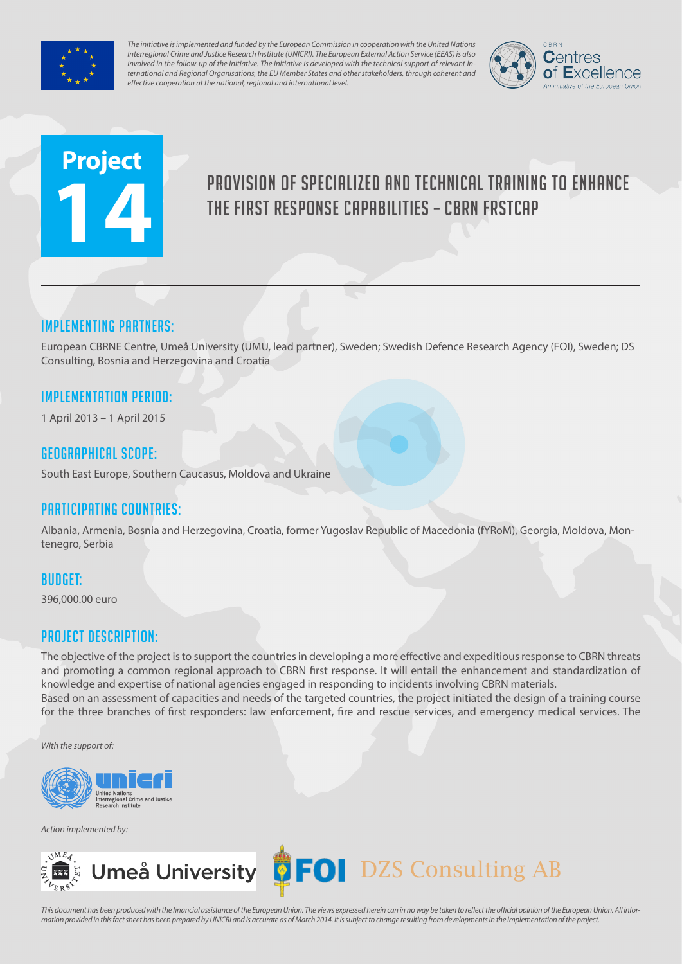

*The initiative is implemented and funded by the European Commission in cooperation with the United Nations Interregional Crime and Justice Research Institute (UNICRI). The European External Action Service (EEAS) is also involved in the follow-up of the initiative. The initiative is developed with the technical support of relevant International and Regional Organisations, the EU Member States and other stakeholders, through coherent and effective cooperation at the national, regional and international level.*



# **Project 14**

# Provision of specialized and technical training to enhance the first response capabilities – CBRN FRstCap

# Implementing partners:

European CBRNE Centre, Umeå University (UMU, lead partner), Sweden; Swedish Defence Research Agency (FOI), Sweden; DS Consulting, Bosnia and Herzegovina and Croatia

## Implementation Period:

1 April 2013 – 1 April 2015

## Geographical scope:

South East Europe, Southern Caucasus, Moldova and Ukraine

# Participating countries:

Albania, Armenia, Bosnia and Herzegovina, Croatia, former Yugoslav Republic of Macedonia (fYRoM), Georgia, Moldova, Montenegro, Serbia

#### Budget:

396,000.00 euro

# Project Description:

The objective of the project is to support the countries in developing a more effective and expeditious response to CBRN threats and promoting a common regional approach to CBRN first response. It will entail the enhancement and standardization of knowledge and expertise of national agencies engaged in responding to incidents involving CBRN materials. Based on an assessment of capacities and needs of the targeted countries, the project initiated the design of a training course for the three branches of first responders: law enforcement, fire and rescue services, and emergency medical services. The

*With the support of:*



*Action implemented by:*



*This document has been produced with the financial assistance of the European Union. The views expressed herein can in no way be taken to reflect the official opinion of the European Union. All information provided in this fact sheet has been prepared by UNICRI and is accurate as of March 2014. It is subject to change resulting from developments in the implementation of the project.*